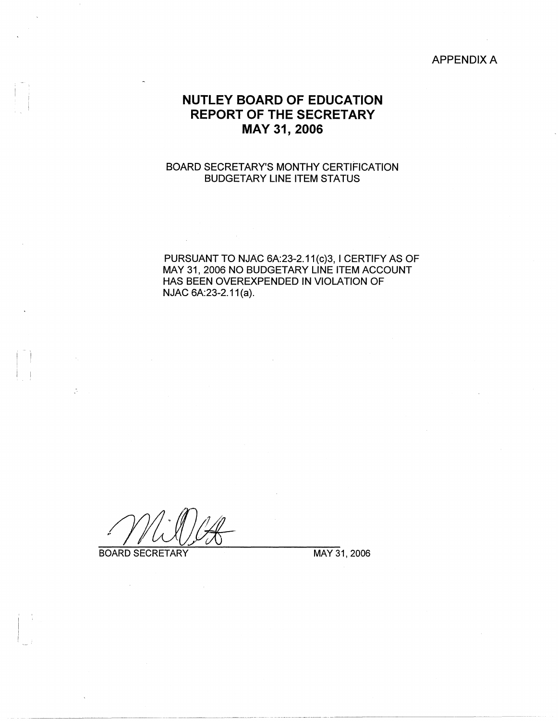## APPENDIX A

## **NUTLEY BOARD OF EDUCATION REPORT OF THE SECRETARY MAY 31, 2006**

## BOARD SECRETARY'S MONTHY CERTIFICATION BUDGETARY LINE ITEM STATUS

PURSUANT TO NJAC 6A:23-2.11(c)3, I CERTIFY AS OF MAY 31, 2006 NO BUDGETARY LINE ITEM ACCOUNT HAS BEEN OVEREXPENDED IN VIOLATION OF NJAC 6A:23-2.11(a).

BOARD SECRETARY MAY 31, 2006

 $\mathbb{R}^2$ 

 $\sim$ 

ķ.

-~~ ---"- -·---------- ·--····---·----------------- ---------~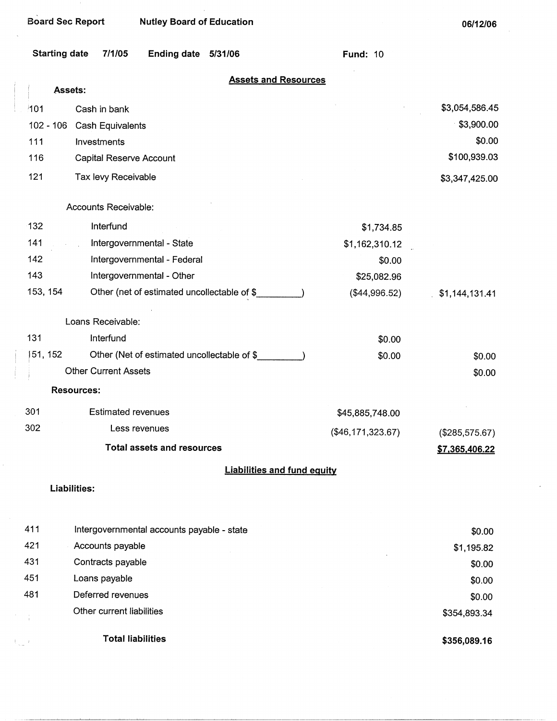| <b>Starting date</b> | <b>Ending date</b><br>7/1/05                | 5/31/06                            | <b>Fund: 10</b>     |                |
|----------------------|---------------------------------------------|------------------------------------|---------------------|----------------|
| Assets:              |                                             | <b>Assets and Resources</b>        |                     |                |
|                      |                                             |                                    |                     | \$3,054,586.45 |
| 101<br>$102 - 106$   | Cash in bank                                |                                    |                     | \$3,900.00     |
| 111                  | Cash Equivalents<br>Investments             |                                    |                     | \$0.00         |
| 116                  | Capital Reserve Account                     |                                    |                     | \$100,939.03   |
| 121                  | Tax levy Receivable                         |                                    |                     | \$3,347,425.00 |
|                      |                                             |                                    |                     |                |
|                      | Accounts Receivable:                        |                                    |                     |                |
| 132                  | Interfund                                   |                                    | \$1,734.85          |                |
| 141                  | Intergovernmental - State                   |                                    | \$1,162,310.12      |                |
| 142                  | Intergovernmental - Federal                 |                                    | \$0.00              |                |
| 143                  | Intergovernmental - Other                   |                                    | \$25,082.96         |                |
| 153, 154             | Other (net of estimated uncollectable of \$ |                                    | (\$44,996.52)       | \$1,144,131.41 |
|                      | Loans Receivable:                           |                                    |                     |                |
| 131                  | Interfund                                   |                                    | \$0.00              |                |
| 151, 152             | Other (Net of estimated uncollectable of \$ |                                    | \$0.00              | \$0.00         |
|                      | <b>Other Current Assets</b>                 |                                    |                     | \$0.00         |
| <b>Resources:</b>    |                                             |                                    |                     |                |
| 301                  | <b>Estimated revenues</b>                   |                                    | \$45,885,748.00     |                |
| 302                  | Less revenues                               |                                    | $(\$46,171,323.67)$ | (\$285,575.67) |
|                      | <b>Total assets and resources</b>           |                                    |                     | \$7,365,406.22 |
|                      |                                             | <b>Liabilities and fund equity</b> |                     |                |
| Liabilities:         |                                             |                                    |                     |                |
|                      |                                             |                                    |                     |                |
| 411                  | Intergovernmental accounts payable - state  |                                    |                     | \$0.00         |
| 421                  | Accounts payable                            |                                    |                     | \$1,195.82     |
| 431                  | Contracts payable                           |                                    |                     | \$0.00         |
| 451                  | Loans payable                               |                                    |                     | \$0.00         |
| 481                  | Deferred revenues                           |                                    |                     | \$0.00         |
|                      | Other current liabilities                   |                                    |                     | \$354,893.34   |

**Total liabilities** 

k,

 $\mathcal{A}_{\infty}$  ).

**\$356,089.16**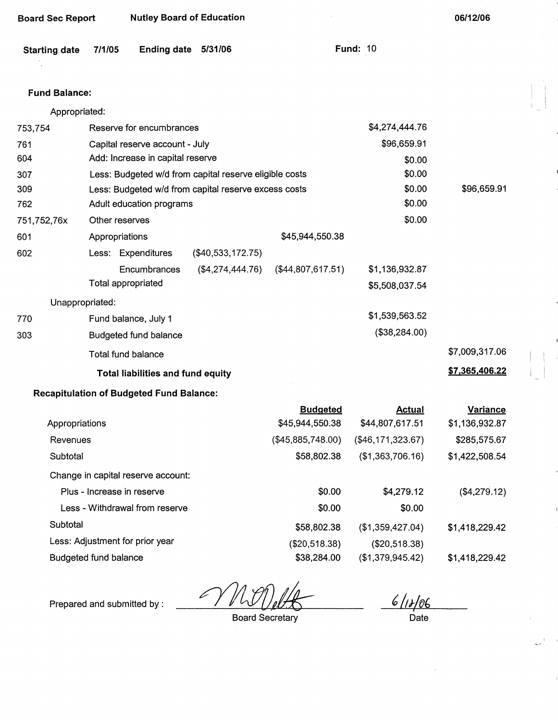| <b>Nutley Board of Education</b><br><b>Board Sec Report</b> |                |                                                 |                                                        |                                    | 06/12/06                         |                            |
|-------------------------------------------------------------|----------------|-------------------------------------------------|--------------------------------------------------------|------------------------------------|----------------------------------|----------------------------|
| <b>Starting date</b>                                        | 7/1/05         | <b>Ending date</b>                              | 5/31/06                                                |                                    | <b>Fund: 10</b>                  |                            |
| <b>Fund Balance:</b>                                        |                |                                                 |                                                        |                                    |                                  |                            |
| Appropriated:                                               |                |                                                 |                                                        |                                    |                                  |                            |
| 753,754                                                     |                | Reserve for encumbrances                        |                                                        |                                    | \$4,274,444.76                   |                            |
| 761                                                         |                | Capital reserve account - July                  |                                                        |                                    | \$96,659.91                      |                            |
| 604                                                         |                | Add: Increase in capital reserve                |                                                        |                                    | \$0.00                           |                            |
| 307                                                         |                |                                                 | Less: Budgeted w/d from capital reserve eligible costs |                                    | \$0.00                           |                            |
| 309                                                         |                |                                                 | Less: Budgeted w/d from capital reserve excess costs   |                                    | \$0.00                           | \$96,659.91                |
| 762                                                         |                | Adult education programs                        |                                                        |                                    | \$0.00                           |                            |
| 751,752,76x                                                 | Other reserves |                                                 |                                                        |                                    | \$0.00                           |                            |
| 601                                                         | Appropriations |                                                 |                                                        | \$45,944,550.38                    |                                  |                            |
| 602                                                         |                | Less: Expenditures                              | $(\$40,533,172.75)$                                    |                                    |                                  |                            |
|                                                             |                | Encumbrances                                    | (\$4,274,444.76)                                       | (\$44,807,617.51)                  | \$1,136,932.87                   |                            |
|                                                             |                | Total appropriated                              |                                                        |                                    | \$5,508,037.54                   |                            |
| Unappropriated:                                             |                |                                                 |                                                        |                                    |                                  |                            |
| 770                                                         |                | Fund balance, July 1                            |                                                        |                                    | \$1,539,563.52                   |                            |
| 303                                                         |                | Budgeted fund balance                           |                                                        |                                    | (\$38,284.00)                    |                            |
|                                                             |                | Total fund balance                              |                                                        |                                    |                                  | \$7,009,317.06             |
|                                                             |                | <b>Total liabilities and fund equity</b>        |                                                        |                                    |                                  | \$7,365,406.22             |
|                                                             |                | <b>Recapitulation of Budgeted Fund Balance:</b> |                                                        |                                    |                                  |                            |
| Appropriations                                              |                |                                                 |                                                        | <b>Budgeted</b><br>\$45,944,550.38 | <b>Actual</b><br>\$44,807,617.51 | Variance<br>\$1,136,932.87 |
| Revenues                                                    |                |                                                 |                                                        | (\$45,885,748.00)                  | ( \$46, 171, 323.67)             | \$285,575.67               |
| Subtotal                                                    |                |                                                 |                                                        | \$58,802.38                        | (\$1,363,706.16)                 | \$1,422,508.54             |
|                                                             |                | Change in capital reserve account:              |                                                        |                                    |                                  |                            |
|                                                             |                | Plus - Increase in reserve                      |                                                        | \$0.00                             | \$4,279.12                       | (\$4,279.12)               |
|                                                             |                | Less - Withdrawal from reserve                  |                                                        | \$0.00                             | \$0.00                           |                            |
| Subtotal                                                    |                |                                                 |                                                        | \$58,802.38                        | (\$1,359,427.04)                 | \$1,418,229.42             |

Less: Adjustment for prior year

Budgeted fund balance

l

Prepared and submitted by :

Board Secretary

(\$20,518.38) \$38,284.00

6/18/06

(\$20,518.38) (\$1,379,945.42)

**Date** 

\$1,418,229.42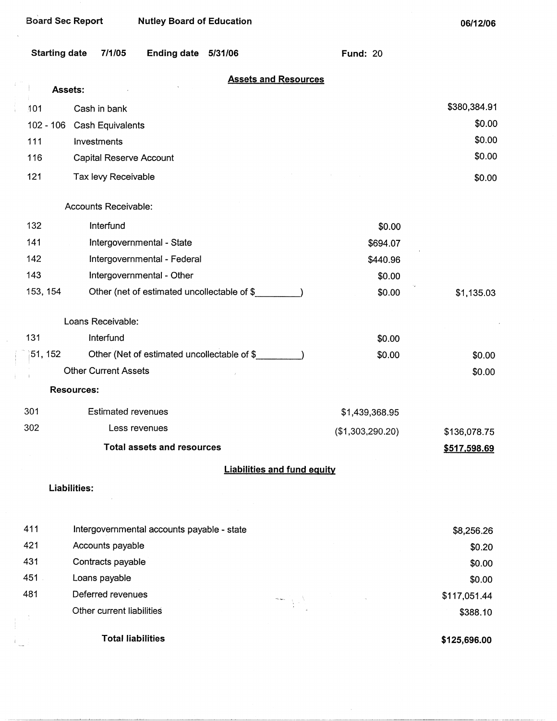$\frac{1}{2}$ 

 $\mathbb{E}_{\mathbb{Z}}$ 

**06/12/06** 

| <b>Starting date</b> | 7/1/05<br><b>Ending date</b><br>5/31/06     | <b>Fund: 20</b>                    |              |
|----------------------|---------------------------------------------|------------------------------------|--------------|
|                      | Assets:                                     | <b>Assets and Resources</b>        |              |
| 101                  | Cash in bank                                |                                    | \$380,384.91 |
| $102 - 106$          | Cash Equivalents                            |                                    | \$0.00       |
| 111                  | Investments                                 |                                    | \$0.00       |
| 116                  | Capital Reserve Account                     |                                    | \$0.00       |
| 121                  | Tax levy Receivable                         |                                    | \$0.00       |
|                      | Accounts Receivable:                        |                                    |              |
| 132                  | Interfund                                   | \$0.00                             |              |
| 141                  | Intergovernmental - State                   | \$694.07                           |              |
| 142                  | Intergovernmental - Federal                 | \$440.96                           |              |
| 143                  | Intergovernmental - Other                   | \$0.00                             |              |
| 153, 154             | Other (net of estimated uncollectable of \$ | \$0.00                             | \$1,135.03   |
|                      | Loans Receivable:                           |                                    |              |
| 131                  | Interfund                                   | \$0.00                             |              |
| 51, 152              | Other (Net of estimated uncollectable of \$ | \$0.00                             | \$0.00       |
|                      | <b>Other Current Assets</b>                 |                                    | \$0.00       |
|                      | <b>Resources:</b>                           |                                    |              |
| 301                  | <b>Estimated revenues</b>                   | \$1,439,368.95                     |              |
| 302                  | Less revenues                               | (\$1,303,290.20)                   | \$136,078.75 |
|                      | <b>Total assets and resources</b>           |                                    | \$517,598.69 |
|                      |                                             | <b>Liabilities and fund equity</b> |              |
|                      | <b>Liabilities:</b>                         |                                    |              |
|                      |                                             |                                    |              |
| 411                  | Intergovernmental accounts payable - state  |                                    | \$8,256.26   |
| 421                  | Accounts payable                            |                                    | \$0.20       |
| 431                  | Contracts payable                           |                                    | \$0.00       |
| 451                  | Loans payable                               |                                    | \$0.00       |
| 481                  | Deferred revenues                           |                                    | \$117,051.44 |
|                      | Other current liabilities                   |                                    | \$388.10     |

**Total liabilities** 

**\$125,696.00**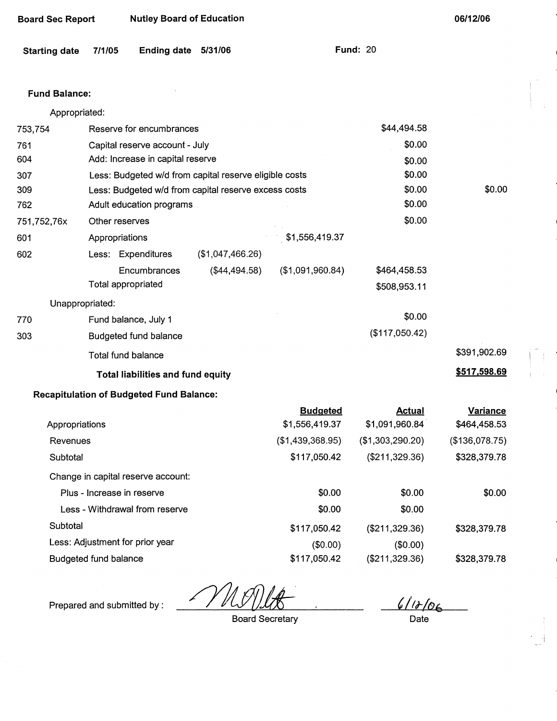| <b>Starting date</b> | Ending date 5/31/06<br>7/1/05                          |                  |                  | <b>Fund: 20</b>  |                 |
|----------------------|--------------------------------------------------------|------------------|------------------|------------------|-----------------|
| <b>Fund Balance:</b> |                                                        |                  |                  |                  |                 |
| Appropriated:        |                                                        |                  |                  |                  |                 |
| 753,754              | Reserve for encumbrances                               |                  |                  | \$44,494.58      |                 |
| 761                  | Capital reserve account - July                         |                  |                  | \$0.00           |                 |
| 604                  | Add: Increase in capital reserve                       |                  |                  | \$0.00           |                 |
| 307                  | Less: Budgeted w/d from capital reserve eligible costs |                  |                  | \$0.00           |                 |
| 309                  | Less: Budgeted w/d from capital reserve excess costs   |                  |                  | \$0.00           | \$0.00          |
| 762                  | Adult education programs                               |                  |                  | \$0.00           |                 |
| 751,752,76x          | Other reserves                                         |                  |                  | \$0.00           |                 |
| 601                  | Appropriations                                         |                  | \$1,556,419.37   |                  |                 |
| 602                  | Less: Expenditures                                     | (\$1,047,466.26) |                  |                  |                 |
|                      | Encumbrances                                           | (\$44,494.58)    | (\$1,091,960.84) | \$464,458.53     |                 |
|                      | Total appropriated                                     |                  |                  | \$508,953.11     |                 |
| Unappropriated:      |                                                        |                  |                  |                  |                 |
| 770                  | Fund balance, July 1                                   |                  |                  | \$0.00           |                 |
| 303                  | <b>Budgeted fund balance</b>                           |                  |                  | (\$117,050.42)   |                 |
|                      | <b>Total fund balance</b>                              |                  |                  |                  | \$391,902.69    |
|                      | Total liabilities and fund equity                      |                  |                  |                  | \$517,598.69    |
|                      | <b>Recapitulation of Budgeted Fund Balance:</b>        |                  |                  |                  |                 |
|                      |                                                        |                  | <b>Budgeted</b>  | <b>Actual</b>    | <b>Variance</b> |
| Appropriations       |                                                        |                  | \$1,556,419.37   | \$1,091,960.84   | \$464,458.53    |
| Revenues             |                                                        |                  | (\$1,439,368.95) | (\$1,303,290.20) | (\$136,078.75)  |
| Subtotal             |                                                        |                  | \$117,050.42     | (\$211,329.36)   | \$328,379.78    |
|                      | Change in capital reserve account:                     |                  |                  |                  |                 |
|                      | Plus - Increase in reserve                             |                  | \$0.00           | \$0.00           | \$0.00          |
|                      |                                                        |                  |                  |                  |                 |

**Board Sec Report Mutley Board of Education 1999 12:00 12:00 12:00 12:00 12:00 12:00 12:00 12:00 12:00 12:00 12:00 12:00 12:00 12:00 12:00 12:00 12:00 12:00 12:00 12:00 12:00 12:00 12:00 12:00 12:00 12:00 12:00 12:00 12:00** 

|                                    | ___________      | ________         | ________       |
|------------------------------------|------------------|------------------|----------------|
| Appropriations                     | \$1,556,419.37   | \$1,091,960.84   | \$464,458.53   |
| Revenues                           | (\$1,439,368.95) | (\$1,303,290.20) | (\$136,078.75) |
| Subtotal                           | \$117,050.42     | (\$211,329.36)   | \$328,379.78   |
| Change in capital reserve account: |                  |                  |                |
| Plus - Increase in reserve         | \$0.00           | \$0.00           | \$0.00         |
| Less - Withdrawal from reserve     | \$0.00           | \$0.00           |                |
| Subtotal                           | \$117,050.42     | (\$211,329.36)   | \$328,379.78   |
| Less: Adjustment for prior year    | (\$0.00)         | (\$0.00)         |                |
| Budgeted fund balance              | \$117,050.42     | (\$211,329.36)   | \$328,379.78   |

Prepared and submitted by :  $\frac{2}{16}$  /  $\frac{1}{16}$  /  $\frac{1}{16}$  /  $\frac{1}{16}$  /  $\frac{1}{16}$  /  $\frac{1}{16}$  /  $\frac{1}{16}$  /  $\frac{1}{16}$  /  $\frac{1}{16}$  /  $\frac{1}{16}$  /  $\frac{1}{16}$  /  $\frac{1}{16}$  /  $\frac{1}{16}$  /  $\frac{1}{16}$  /  $\frac{1}{16}$ 

**Board Secretary** 

i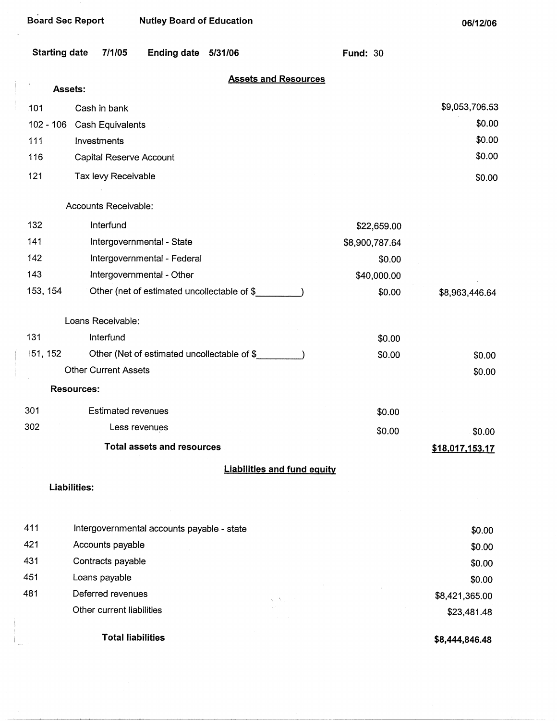| <b>Board Sec Report</b> |                             | <b>Nutley Board of Education</b>   |                                             |                                    |                 | 06/12/06        |
|-------------------------|-----------------------------|------------------------------------|---------------------------------------------|------------------------------------|-----------------|-----------------|
| <b>Starting date</b>    | 7/1/05                      | <b>Ending date</b>                 | 5/31/06                                     |                                    | <b>Fund: 30</b> |                 |
| Assets:                 |                             |                                    |                                             | <b>Assets and Resources</b>        |                 |                 |
| 101                     | Cash in bank                |                                    |                                             |                                    |                 | \$9,053,706.53  |
| $102 - 106$             | Cash Equivalents            |                                    |                                             |                                    |                 | \$0.00          |
| 111                     | Investments                 |                                    |                                             |                                    |                 | \$0.00          |
| 116                     | Capital Reserve Account     |                                    |                                             |                                    |                 | \$0.00          |
| 121                     | Tax levy Receivable         |                                    |                                             |                                    |                 | \$0.00          |
|                         | Accounts Receivable:        |                                    |                                             |                                    |                 |                 |
| 132                     | Interfund                   |                                    |                                             |                                    | \$22,659.00     |                 |
| 141                     |                             | Intergovernmental - State          |                                             |                                    | \$8,900,787.64  |                 |
| 142                     |                             | Intergovernmental - Federal        |                                             |                                    | \$0.00          |                 |
| 143                     |                             | Intergovernmental - Other          |                                             |                                    | \$40,000.00     |                 |
| 153, 154                |                             |                                    | Other (net of estimated uncollectable of \$ |                                    | \$0.00          | \$8,963,446.64  |
|                         | Loans Receivable:           |                                    |                                             |                                    |                 |                 |
| 131                     | Interfund                   |                                    |                                             |                                    | \$0.00          |                 |
| 51, 152                 |                             |                                    | Other (Net of estimated uncollectable of \$ |                                    | \$0.00          | \$0.00          |
|                         | <b>Other Current Assets</b> |                                    |                                             |                                    |                 | \$0.00          |
|                         | <b>Resources:</b>           |                                    |                                             |                                    |                 |                 |
| 301                     | <b>Estimated revenues</b>   |                                    |                                             |                                    | \$0.00          |                 |
| 302                     |                             | Less revenues                      |                                             |                                    | \$0.00          | \$0.00          |
|                         |                             | <b>Total assets and resources</b>  |                                             |                                    |                 | \$18,017,153.17 |
|                         |                             |                                    |                                             | <b>Liabilities and fund equity</b> |                 |                 |
|                         | <b>Liabilities:</b>         |                                    |                                             |                                    |                 |                 |
| 111                     |                             | Internationmental concurte poughle |                                             |                                    |                 |                 |

|     | <b>Total liabilities</b>                   |    | \$8,444,846.48 |
|-----|--------------------------------------------|----|----------------|
|     | Other current liabilities                  |    | \$23,481.48    |
| 481 | Deferred revenues                          | ざい | \$8,421,365.00 |
| 451 | Loans payable                              |    | \$0.00         |
| 431 | Contracts payable                          |    | \$0.00         |
| 421 | Accounts payable                           |    | \$0.00         |
| 411 | Intergovernmental accounts payable - state |    | \$0.00         |
|     |                                            |    |                |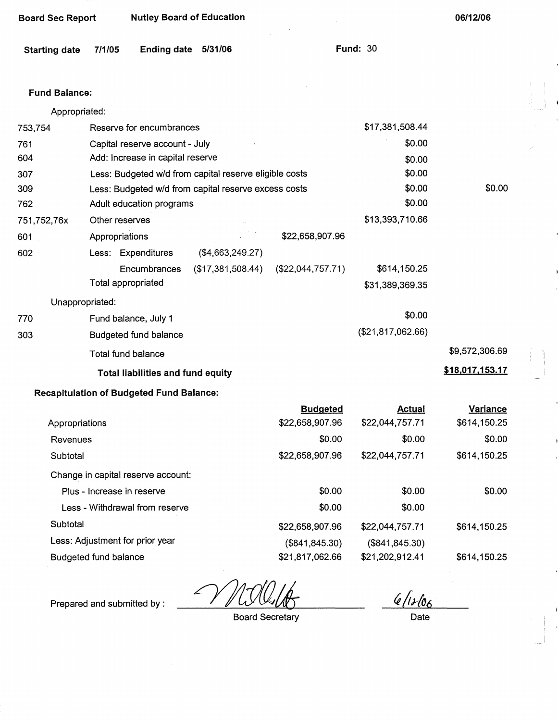| <b>Board Sec Report</b> |                | <b>Nutley Board of Education</b>                |                                                        |                                    |                                  | 06/12/06                        |
|-------------------------|----------------|-------------------------------------------------|--------------------------------------------------------|------------------------------------|----------------------------------|---------------------------------|
| <b>Starting date</b>    | 7/1/05         | <b>Ending date</b>                              | 5/31/06                                                |                                    | <b>Fund: 30</b>                  |                                 |
| <b>Fund Balance:</b>    |                |                                                 |                                                        |                                    |                                  |                                 |
| Appropriated:           |                |                                                 |                                                        |                                    |                                  |                                 |
| 753,754                 |                | Reserve for encumbrances                        |                                                        |                                    | \$17,381,508.44                  |                                 |
| 761                     |                | Capital reserve account - July                  |                                                        |                                    | \$0.00                           |                                 |
| 604                     |                | Add: Increase in capital reserve                |                                                        |                                    | \$0.00                           |                                 |
| 307                     |                |                                                 | Less: Budgeted w/d from capital reserve eligible costs |                                    | \$0.00                           |                                 |
| 309                     |                |                                                 | Less: Budgeted w/d from capital reserve excess costs   |                                    | \$0.00                           | \$0.00                          |
| 762                     |                | Adult education programs                        |                                                        |                                    | \$0.00                           |                                 |
| 751,752,76x             | Other reserves |                                                 |                                                        |                                    | \$13,393,710.66                  |                                 |
| 601                     | Appropriations |                                                 |                                                        | \$22,658,907.96                    |                                  |                                 |
| 602                     |                | Less: Expenditures                              | (\$4,663,249.27)                                       |                                    |                                  |                                 |
|                         |                | Encumbrances                                    | (\$17,381,508.44)                                      | (\$22,044,757.71)                  | \$614,150.25                     |                                 |
|                         |                | Total appropriated                              |                                                        |                                    | \$31,389,369.35                  |                                 |
| Unappropriated:         |                |                                                 |                                                        |                                    |                                  |                                 |
| 770                     |                | Fund balance, July 1                            |                                                        |                                    | \$0.00                           |                                 |
| 303                     |                | Budgeted fund balance                           |                                                        |                                    | (\$21,817,062.66)                |                                 |
|                         |                | <b>Total fund balance</b>                       |                                                        |                                    |                                  | \$9,572,306.69                  |
|                         |                | <b>Total liabilities and fund equity</b>        |                                                        |                                    |                                  | \$18,017,153.17                 |
|                         |                | <b>Recapitulation of Budgeted Fund Balance:</b> |                                                        |                                    |                                  |                                 |
| Appropriations          |                |                                                 |                                                        | <b>Budgeted</b><br>\$22,658,907.96 | <b>Actual</b><br>\$22,044,757.71 | <b>Variance</b><br>\$614,150.25 |
| Revenues                |                |                                                 |                                                        | \$0.00                             | \$0.00                           | \$0.00                          |
| Subtotal                |                |                                                 |                                                        | \$22,658,907.96                    | \$22,044,757.71                  | \$614,150.25                    |
|                         |                | Change in capital reserve account:              |                                                        |                                    |                                  |                                 |
|                         |                | Plus - Increase in reserve                      |                                                        | \$0.00                             | \$0.00                           | \$0.00                          |
|                         |                |                                                 |                                                        |                                    |                                  |                                 |

| Appropriations                     | \$22,658,907.96 | \$22,044,757.71 | \$614,150.25 |
|------------------------------------|-----------------|-----------------|--------------|
| Revenues                           | \$0.00          | \$0.00          | \$0.00       |
| Subtotal                           | \$22,658,907.96 | \$22,044,757.71 | \$614,150.25 |
| Change in capital reserve account: |                 |                 |              |
| Plus - Increase in reserve         | \$0.00          | \$0.00          | \$0.00       |
| Less - Withdrawal from reserve     | \$0.00          | \$0.00          |              |
| Subtotal                           | \$22,658,907.96 | \$22,044,757.71 | \$614,150.25 |
| Less: Adjustment for prior year    | (\$841, 845.30) | (\$841, 845.30) |              |
| Budgeted fund balance              | \$21,817,062.66 | \$21,202,912.41 | \$614,150.25 |

Prepared and submitted by :  $\sqrt{ }$ 

Board Secretary

 $6/1106$ 

Date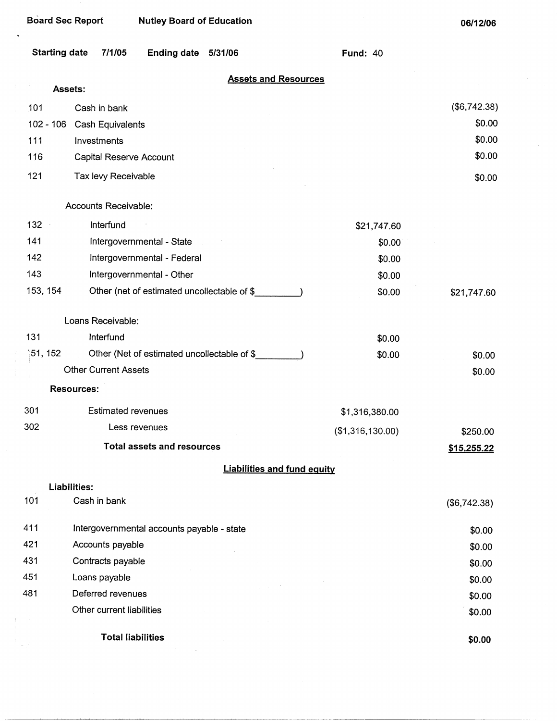$\ddot{\phantom{0}}$ 

| <b>Starting date</b> | 7/1/05                                     | Ending date 5/31/06                         |                                    | <b>Fund: 40</b>  |                    |
|----------------------|--------------------------------------------|---------------------------------------------|------------------------------------|------------------|--------------------|
|                      | Assets:                                    |                                             | <b>Assets and Resources</b>        |                  |                    |
| 101                  | Cash in bank                               |                                             |                                    |                  | (\$6,742.38)       |
| $102 - 106$          | Cash Equivalents                           |                                             |                                    |                  | \$0.00             |
| 111                  | Investments                                |                                             |                                    |                  | \$0.00             |
| 116                  | Capital Reserve Account                    |                                             |                                    |                  | \$0.00             |
| 121                  | Tax levy Receivable                        |                                             |                                    |                  | \$0.00             |
|                      | Accounts Receivable:                       |                                             |                                    |                  |                    |
| $132 -$              | Interfund                                  |                                             |                                    | \$21,747.60      |                    |
| 141                  |                                            | Intergovernmental - State                   |                                    | \$0.00           |                    |
| 142                  |                                            | Intergovernmental - Federal                 |                                    | \$0.00           |                    |
| 143                  |                                            | Intergovernmental - Other                   |                                    | \$0.00           |                    |
| 153, 154             |                                            | Other (net of estimated uncollectable of \$ |                                    | \$0.00           | \$21,747.60        |
|                      | Loans Receivable:                          |                                             |                                    |                  |                    |
| 131                  | Interfund                                  |                                             |                                    | \$0.00           |                    |
| 151, 152             |                                            | Other (Net of estimated uncollectable of \$ |                                    | \$0.00           | \$0.00             |
|                      | <b>Other Current Assets</b>                |                                             |                                    |                  | \$0.00             |
|                      | <b>Resources:</b>                          |                                             |                                    |                  |                    |
| 301                  | <b>Estimated revenues</b>                  |                                             |                                    | \$1,316,380.00   |                    |
| 302                  |                                            | Less revenues                               |                                    | (\$1,316,130.00) | \$250.00           |
|                      |                                            | <b>Total assets and resources</b>           |                                    |                  | <u>\$15,255.22</u> |
|                      |                                            |                                             | <b>Liabilities and fund equity</b> |                  |                    |
|                      | Liabilities:                               |                                             |                                    |                  |                    |
| 101                  | Cash in bank                               |                                             |                                    |                  | (\$6,742.38)       |
| 411                  | Intergovernmental accounts payable - state |                                             |                                    |                  | \$0.00             |
| 421                  | Accounts payable                           |                                             |                                    |                  | \$0.00             |
| 431                  | Contracts payable                          |                                             |                                    |                  | \$0.00             |
| 451                  | Loans payable                              |                                             |                                    |                  | \$0.00             |
| 481                  | Deferred revenues                          |                                             |                                    |                  | \$0.00             |
|                      | Other current liabilities                  |                                             |                                    |                  | \$0.00             |
|                      | <b>Total liabilities</b>                   |                                             |                                    |                  | \$0.00             |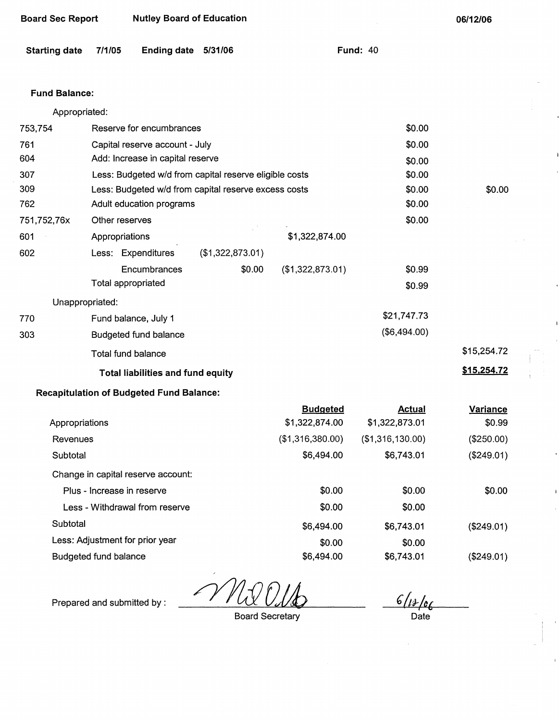| <b>Board Sec Report</b>                  |                                                | <b>Nutley Board of Education</b>                |                                                        |                  |                  | 06/12/06        |
|------------------------------------------|------------------------------------------------|-------------------------------------------------|--------------------------------------------------------|------------------|------------------|-----------------|
| <b>Starting date</b>                     | 7/1/05                                         | Ending date 5/31/06                             |                                                        |                  | <b>Fund: 40</b>  |                 |
| <b>Fund Balance:</b>                     |                                                |                                                 |                                                        |                  |                  |                 |
| Appropriated:                            |                                                |                                                 |                                                        |                  |                  |                 |
| 753,754                                  |                                                | Reserve for encumbrances                        |                                                        |                  | \$0.00           |                 |
| 761                                      |                                                | Capital reserve account - July                  |                                                        |                  | \$0.00           |                 |
| 604                                      |                                                | Add: Increase in capital reserve                |                                                        |                  | \$0.00           |                 |
| 307                                      |                                                |                                                 | Less: Budgeted w/d from capital reserve eligible costs |                  | \$0.00           |                 |
| 309                                      |                                                |                                                 | Less: Budgeted w/d from capital reserve excess costs   |                  | \$0.00           | \$0.00          |
| 762                                      |                                                | Adult education programs                        |                                                        |                  | \$0.00           |                 |
| 751,752,76x                              | Other reserves                                 |                                                 |                                                        |                  | \$0.00           |                 |
| 601                                      | Appropriations                                 |                                                 |                                                        | \$1,322,874.00   |                  |                 |
| 602                                      |                                                | Less: Expenditures                              | (\$1,322,873.01)                                       |                  |                  |                 |
|                                          |                                                | Encumbrances                                    | \$0.00                                                 | (\$1,322,873.01) | \$0.99           |                 |
|                                          | Total appropriated                             |                                                 |                                                        |                  | \$0.99           |                 |
| Unappropriated:                          |                                                |                                                 |                                                        |                  |                  |                 |
| 770                                      |                                                | Fund balance, July 1                            |                                                        |                  | \$21,747.73      |                 |
| 303                                      |                                                | <b>Budgeted fund balance</b>                    |                                                        |                  | (\$6,494.00)     |                 |
|                                          |                                                | <b>Total fund balance</b>                       |                                                        |                  |                  | \$15,254.72     |
| <b>Total liabilities and fund equity</b> |                                                |                                                 |                                                        |                  |                  | \$15,254.72     |
|                                          |                                                | <b>Recapitulation of Budgeted Fund Balance:</b> |                                                        |                  |                  |                 |
|                                          |                                                |                                                 |                                                        | <b>Budgeted</b>  | <b>Actual</b>    | <b>Variance</b> |
| Appropriations                           |                                                |                                                 |                                                        | \$1,322,874.00   | \$1,322,873.01   | \$0.99          |
| Revenues                                 |                                                |                                                 |                                                        | (\$1,316,380.00) | (\$1,316,130.00) | (\$250.00)      |
| Subtotal                                 |                                                |                                                 |                                                        | \$6,494.00       | \$6,743.01       | (\$249.01)      |
|                                          |                                                | Change in capital reserve account:              |                                                        |                  |                  |                 |
|                                          | Plus - Increase in reserve                     |                                                 |                                                        | \$0.00           | \$0.00           | \$0.00          |
|                                          | ድስ ሰሰ<br>ድስ ሰሰ<br>Long Mithdrowal from ronomia |                                                 |                                                        |                  |                  |                 |

Less - Withdrawal from reserve  $$0.00$ Subtotal \$6,494.00 Less: Adjustment for prior year  $$0.00$ \$0.00 \$6,743.01 \$0.00

Budgeted fund balance \$6,494.00

Prepared and submitted by :

Board Secretary

 $rac{6/12/6}{\text{Date}}$ 

(\$249.01)

(\$249.01)

\$6,743.01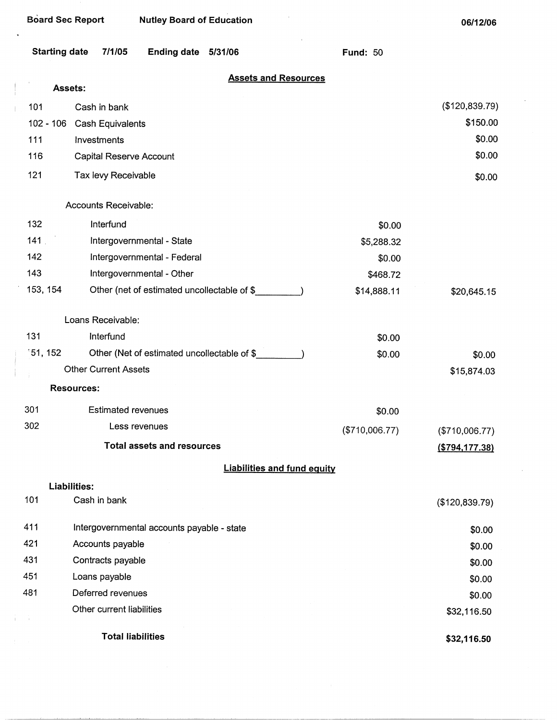l,

**06/12/06** 

| <b>Starting date</b> | 7/1/05                                     | Ending date 5/31/06                         |                                    | <b>Fund: 50</b> |                  |
|----------------------|--------------------------------------------|---------------------------------------------|------------------------------------|-----------------|------------------|
| Assets:              |                                            |                                             | <b>Assets and Resources</b>        |                 |                  |
| 101                  | Cash in bank                               |                                             |                                    |                 | (\$120,839.79)   |
| $102 - 106$          | <b>Cash Equivalents</b>                    |                                             |                                    |                 | \$150.00         |
| 111                  | Investments                                |                                             |                                    |                 | \$0.00           |
| 116                  | Capital Reserve Account                    |                                             |                                    |                 | \$0.00           |
| 121                  | Tax levy Receivable                        |                                             |                                    |                 | \$0.00           |
|                      | Accounts Receivable:                       |                                             |                                    |                 |                  |
| 132                  | Interfund                                  |                                             |                                    | \$0.00          |                  |
| 141                  |                                            | Intergovernmental - State                   |                                    | \$5,288.32      |                  |
| 142                  |                                            | Intergovernmental - Federal                 |                                    | \$0.00          |                  |
| 143                  |                                            | Intergovernmental - Other                   |                                    | \$468.72        |                  |
| 153, 154             |                                            | Other (net of estimated uncollectable of \$ |                                    | \$14,888.11     | \$20,645.15      |
|                      | Loans Receivable:                          |                                             |                                    |                 |                  |
| 131                  | Interfund                                  |                                             |                                    | \$0.00          |                  |
| 151, 152             |                                            | Other (Net of estimated uncollectable of \$ |                                    | \$0.00          | \$0.00           |
|                      | <b>Other Current Assets</b>                |                                             |                                    |                 | \$15,874.03      |
|                      | <b>Resources:</b>                          |                                             |                                    |                 |                  |
| 301                  | <b>Estimated revenues</b>                  |                                             |                                    | \$0.00          |                  |
| 302                  |                                            | Less revenues                               |                                    | (\$710,006.77)  | (\$710,006.77)   |
|                      |                                            | <b>Total assets and resources</b>           |                                    |                 | ( \$794, 177.38) |
|                      |                                            |                                             | <b>Liabilities and fund equity</b> |                 |                  |
| Liabilities:         |                                            |                                             |                                    |                 |                  |
| 101                  | Cash in bank                               |                                             |                                    |                 | (\$120,839.79)   |
| 411                  | Intergovernmental accounts payable - state |                                             |                                    |                 | \$0.00           |
| 421                  | Accounts payable                           |                                             |                                    |                 | \$0.00           |
| 431                  | Contracts payable                          |                                             |                                    |                 | \$0.00           |
| 451                  | Loans payable                              |                                             |                                    |                 | \$0.00           |
| 481                  | Deferred revenues                          |                                             |                                    |                 | \$0.00           |
|                      | Other current liabilities                  |                                             |                                    |                 | \$32,116.50      |
|                      | <b>Total liabilities</b>                   |                                             |                                    |                 | \$32,116.50      |

 $\epsilon$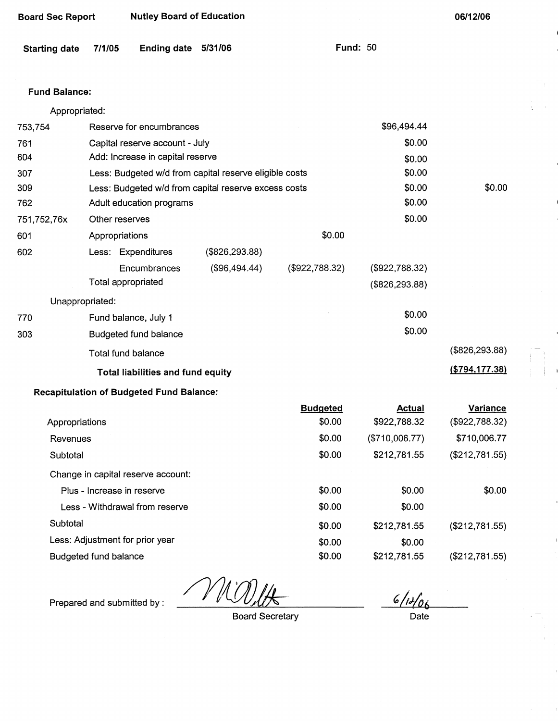| <b>Board Sec Report</b> | <b>Nutley Board of Education</b>                       | 06/12/06         |  |
|-------------------------|--------------------------------------------------------|------------------|--|
| <b>Starting date</b>    | <b>Ending date</b><br>5/31/06<br>7/1/05                | <b>Fund: 50</b>  |  |
| <b>Fund Balance:</b>    |                                                        |                  |  |
| Appropriated:           |                                                        |                  |  |
| 753,754                 | Reserve for encumbrances                               | \$96,494.44      |  |
| 761                     | Capital reserve account - July                         | \$0.00           |  |
| 604                     | Add: Increase in capital reserve                       | \$0.00           |  |
| 307                     | Less: Budgeted w/d from capital reserve eligible costs | \$0.00           |  |
| 309                     | Less: Budgeted w/d from capital reserve excess costs   | \$0.00<br>\$0.00 |  |
| 762                     | Adult education programs                               | \$0.00           |  |
| 751,752,76x             | Other reserves                                         | \$0.00           |  |
| 601                     | \$0.00<br>Appropriations                               |                  |  |
| 602                     | (\$826, 293.88)<br>Less: Expenditures                  |                  |  |
|                         | Encumbrances<br>(\$96,494.44)<br>(\$922,788.32)        | (\$922,788.32)   |  |
|                         | Total appropriated                                     | (\$826, 293.88)  |  |

Unappropriated:

| 770 | Fund balance, July 1                     | \$0.00           |
|-----|------------------------------------------|------------------|
| 303 | Budgeted fund balance                    | \$0.00           |
|     | Total fund balance                       | (\$826, 293.88)  |
|     | <b>Total liabilities and fund equity</b> | ( \$794, 177.38) |

## **Recapitulation of Budgeted Fund Balance:**

|                                    | <b>Budgeted</b> | Actual         | Variance       |
|------------------------------------|-----------------|----------------|----------------|
| Appropriations                     | \$0.00          | \$922,788.32   | (\$922,788.32) |
| Revenues                           | \$0.00          | (\$710,006.77) | \$710,006.77   |
| Subtotal                           | \$0.00          | \$212,781.55   | (\$212,781.55) |
| Change in capital reserve account: |                 |                |                |
| Plus - Increase in reserve         | \$0.00          | \$0.00         | \$0.00         |
| Less - Withdrawal from reserve     | \$0.00          | \$0.00         |                |
| Subtotal                           | \$0.00          | \$212,781.55   | (\$212,781.55) |
| Less: Adjustment for prior year    | \$0.00          | \$0.00         |                |
| <b>Budgeted fund balance</b>       | \$0.00          | \$212,781.55   | (\$212,781.55) |

Prepared and submitted by :

 $\mathcal{V}$ 

Board Secretary

 $6/14/06$ Date

 $\mathbf{I}$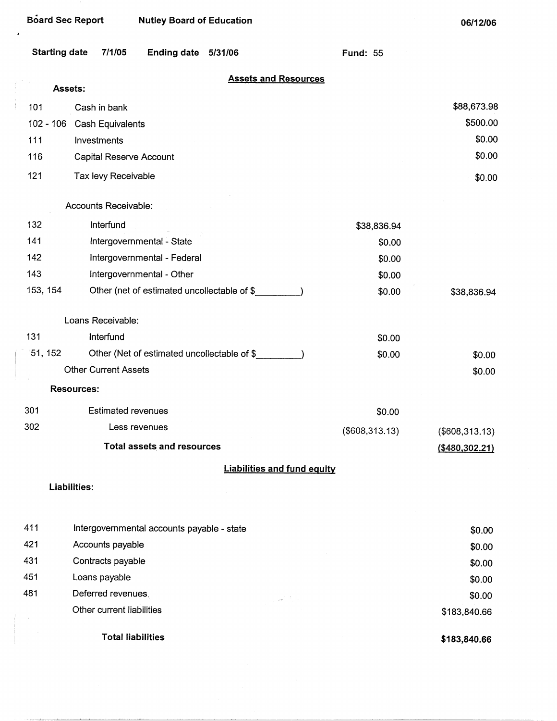| Board Sec Report<br><b>Nutley Board of Education</b> |                                            |                     |                                             |  | 06/12/06        |                   |
|------------------------------------------------------|--------------------------------------------|---------------------|---------------------------------------------|--|-----------------|-------------------|
| <b>Starting date</b>                                 | 7/1/05                                     | Ending date 5/31/06 |                                             |  | <b>Fund: 55</b> |                   |
| Assets:                                              |                                            |                     | <b>Assets and Resources</b>                 |  |                 |                   |
| 101                                                  | Cash in bank                               |                     |                                             |  |                 | \$88,673.98       |
| $102 - 106$                                          | Cash Equivalents                           |                     |                                             |  |                 | \$500.00          |
| 111                                                  | Investments                                |                     |                                             |  |                 | \$0.00            |
| 116                                                  | Capital Reserve Account                    |                     |                                             |  |                 | \$0.00            |
| 121                                                  | Tax levy Receivable                        |                     |                                             |  |                 | \$0.00            |
|                                                      | Accounts Receivable:                       |                     |                                             |  |                 |                   |
| 132                                                  | Interfund                                  |                     |                                             |  | \$38,836.94     |                   |
| 141                                                  | Intergovernmental - State                  |                     |                                             |  | \$0.00          |                   |
| 142                                                  | Intergovernmental - Federal                |                     |                                             |  | \$0.00          |                   |
| 143                                                  | Intergovernmental - Other                  |                     |                                             |  | \$0.00          |                   |
| 153, 154                                             |                                            |                     | Other (net of estimated uncollectable of \$ |  | \$0.00          | \$38,836.94       |
|                                                      | Loans Receivable:                          |                     |                                             |  |                 |                   |
| 131                                                  | Interfund                                  |                     |                                             |  | \$0.00          |                   |
| 51, 152                                              |                                            |                     | Other (Net of estimated uncollectable of \$ |  | \$0.00          | \$0.00            |
|                                                      | <b>Other Current Assets</b>                |                     |                                             |  |                 | \$0.00            |
|                                                      | <b>Resources:</b>                          |                     |                                             |  |                 |                   |
| 301                                                  | <b>Estimated revenues</b>                  |                     |                                             |  | \$0.00          |                   |
| 302                                                  | Less revenues                              |                     |                                             |  | (\$608,313.13)  | (\$608,313.13)    |
|                                                      | <b>Total assets and resources</b>          |                     |                                             |  |                 | $($ \$480,302.21) |
|                                                      |                                            |                     | <b>Liabilities and fund equity</b>          |  |                 |                   |
|                                                      | <b>Liabilities:</b>                        |                     |                                             |  |                 |                   |
| 411                                                  | Intergovernmental accounts payable - state |                     |                                             |  |                 | \$0.00            |
| 421                                                  | Accounts payable                           |                     |                                             |  |                 | \$0.00            |

الموارد فليتور

\$0.00 \$0.00 \$0.00

\$183,840.66

**\$183,840.66** 

431 451 481

 $\bullet$ 

Contracts payable Loans payable Deferred revenues. Other current liabilities

Total liabilities